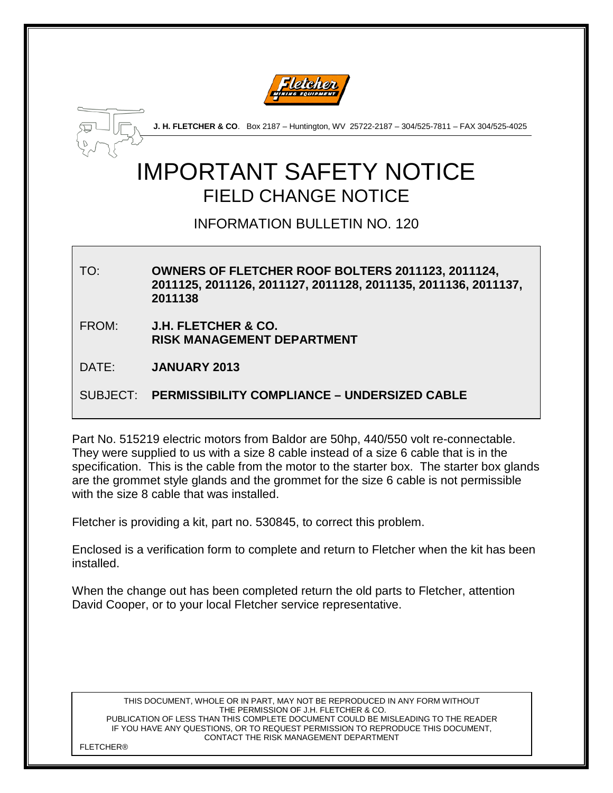



**J. H. FLETCHER & CO**. Box 2187 – Huntington, WV 25722-2187 – 304/525-7811 – FAX 304/525-4025

## IMPORTANT SAFETY NOTICE FIELD CHANGE NOTICE

INFORMATION BULLETIN NO. 120

TO: **OWNERS OF FLETCHER ROOF BOLTERS 2011123, 2011124, 2011125, 2011126, 2011127, 2011128, 2011135, 2011136, 2011137, 2011138** FROM: **J.H. FLETCHER & CO. RISK MANAGEMENT DEPARTMENT** DATE: **JANUARY 2013** SUBJECT: **PERMISSIBILITY COMPLIANCE – UNDERSIZED CABLE**

Part No. 515219 electric motors from Baldor are 50hp, 440/550 volt re-connectable. They were supplied to us with a size 8 cable instead of a size 6 cable that is in the specification. This is the cable from the motor to the starter box. The starter box glands are the grommet style glands and the grommet for the size 6 cable is not permissible with the size 8 cable that was installed.

Fletcher is providing a kit, part no. 530845, to correct this problem.

Enclosed is a verification form to complete and return to Fletcher when the kit has been installed.

When the change out has been completed return the old parts to Fletcher, attention David Cooper, or to your local Fletcher service representative.

THIS DOCUMENT, WHOLE OR IN PART, MAY NOT BE REPRODUCED IN ANY FORM WITHOUT THE PERMISSION OF J.H. FLETCHER & CO. PUBLICATION OF LESS THAN THIS COMPLETE DOCUMENT COULD BE MISLEADING TO THE READER IF YOU HAVE ANY QUESTIONS, OR TO REQUEST PERMISSION TO REPRODUCE THIS DOCUMENT, CONTACT THE RISK MANAGEMENT DEPARTMENT

**FI FTCHER®**